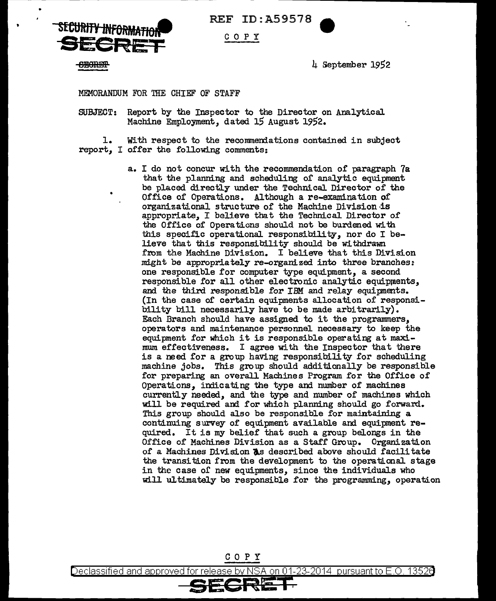**S£CtJftJJ'i JNF6RMAfJ6i-9ECRET**  REF ID:A59578

## c 0 p y

**CECRET** 

4 September 1952

MEMORANDUM FOR THE CHIEF OF STAFF

SUBJECT: Report by the Inspector to the Director on Analytical Machine Employment, dated 15 August 1952.

1. With respect to the recommeniations contained in subject report, I offer the following comments:

> a. I do not concur with the recommendation of paragraph 7a that the planning and scheduling of analytic equipment be placed directly under the Technical Director of the Office of Operations. Although a re-examination of organizational structure of the Machine Division ·is appropriate, I believe that the Technical Director of the Office of Operations should not be burdened with this specific operational responsibility, nor do I believe that this responsibility should be withdrawn from the Machine Division. I believe that this Division might be appropriately re-organized into three branches: one responsible for computer type equipment, a second responsible for all other electronic analytic equipments, and the third responsible for IBM and relay equipments. (In the case of certain equipments allocation of responsibility bill necessarily have to be made arbitrarily) • Each Branch should have assigned to it the programmers, operators and maintenance personnel necessary to keep the equipment for which it is responsible operating at maximum effectiveness. I agree with the Inspector that there is a need for a group haVing responsibility for scheduling machine jobs. This group should additionally be responsible for preparing an overall Machines Program for the Office of Operations, indicating the type and number of machines currently needed, and the type and number of machines which will be required and for which planning should go forward. This group should also be responsible for maintaining a continuing survey of equipment available and equipment required. It is my belief that such a group belongs in the Office of Machines Division as a Staff Group. Organization of a Machines Division **As** described above should facilitate the transition from the development to the operational stage in the case of new equipments, since the individuals who will ultimately be responsible for the programming, operation



Declassified and approved for release by NSA on 01-23-2014  $\,$  pursuant to E.O. 13526  $\,$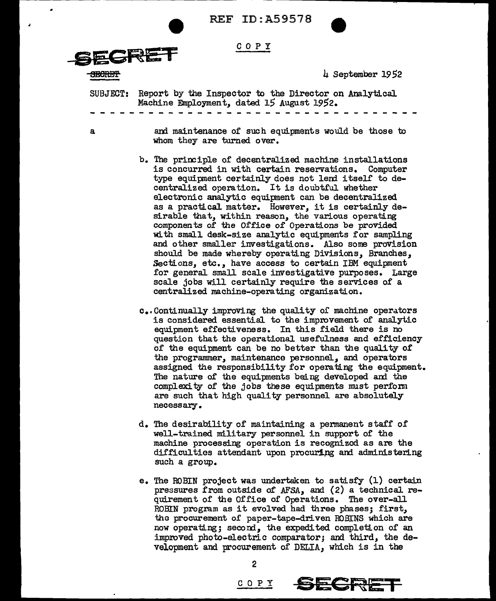

REF ID:A59578





SECRET SEPTER 1952

SUBJECT: Report by the Inspector to the Director on Analytical Machine Employment, dated 15 August 1952.

a

and maintenance of such equipments would be those to whom they are turned over.

- b. The principle of decentralized machine installations is concurred in with certain reservations. Computer type equipment certainly does not lend itself to decentralized operation. It is doubtful whether electronic analytic equipment can be decentralized as a practical matter. However, it is certainly desirable that, within reason, the various operating components of the Office of Operations be provided with small desk-size analytic equipments for sampling and other smaller investigations. Also some provision should be made whereby operating Divisions, Branches, Sections, etc., have access to certain IBM equipment for general small scale investigative purposes. Large scale jobs will certainly require the services of a centralized machine-operating organization.
- c •• Continually improving the quality or machine operators is considered essential to the improvement of analytic equipment effectiveness. In this field there is no question that the operational usefulness and efficiency of the equipment can be no better than the quality of the programmer, maintenance personnel, and operators assigned the responsibility for operating the equipment. The nature of the equipments being developed and the complexity of the jobs these equipments must perform are such that high quality personnel are absolutely necessary.
- d. The desirability of maintaining a permanent staff of well-trained military personnel in support of the machine processing operation is recognized as are the difficulties attendant upon procuring and administering such a group.
- e. The ROBIN project was undertaken to satisfy (1) certain pressures from outside o£ AFSA, and (2) a technical requirement of the Office of Operations. The over-all ROBIN program as it evolved had three phases; first, the procurement of paper-tape-driven ROBINS which are now operating; second, the expedited completion of an improved photo-electric comparator; and third, the development and procurement of DELIA, which is in the

2